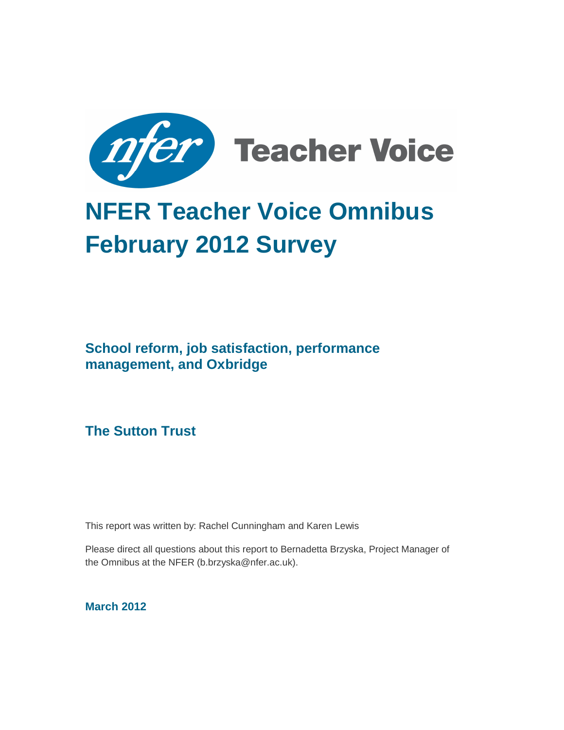

# **NFER Teacher Voice Omnibus February 2012 Survey**

**School reform, job satisfaction, performance management, and Oxbridge** 

**The Sutton Trust** 

This report was written by: Rachel Cunningham and Karen Lewis

Please direct all questions about this report to Bernadetta Brzyska, Project Manager of the Omnibus at the NFER (b.brzyska@nfer.ac.uk).

**March 2012**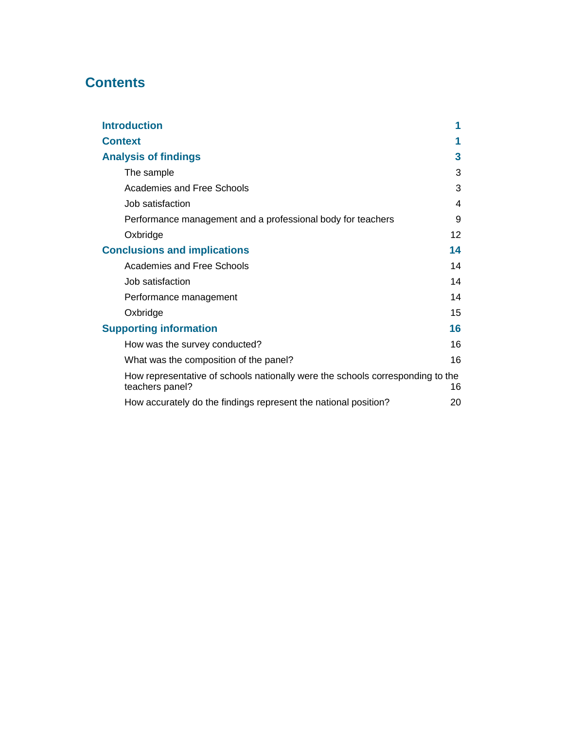# **Contents**

| <b>Introduction</b>                                                                               | 1  |
|---------------------------------------------------------------------------------------------------|----|
| <b>Context</b>                                                                                    | 1  |
| <b>Analysis of findings</b>                                                                       | 3  |
| The sample                                                                                        | 3  |
| Academies and Free Schools                                                                        | 3  |
| Job satisfaction                                                                                  | 4  |
| Performance management and a professional body for teachers                                       | 9  |
| Oxbridge                                                                                          | 12 |
| <b>Conclusions and implications</b>                                                               | 14 |
| Academies and Free Schools                                                                        | 14 |
| Job satisfaction                                                                                  | 14 |
| Performance management                                                                            | 14 |
| Oxbridge                                                                                          | 15 |
| <b>Supporting information</b>                                                                     | 16 |
| How was the survey conducted?                                                                     | 16 |
| What was the composition of the panel?                                                            | 16 |
| How representative of schools nationally were the schools corresponding to the<br>teachers panel? | 16 |
| How accurately do the findings represent the national position?                                   | 20 |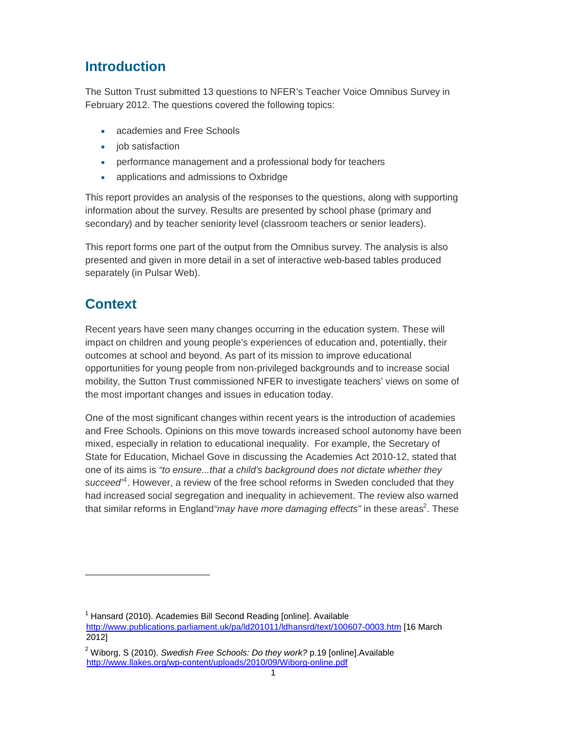# <span id="page-2-0"></span>**Introduction**

The Sutton Trust submitted 13 questions to NFER's Teacher Voice Omnibus Survey in February 2012. The questions covered the following topics:

- academies and Free Schools
- iob satisfaction
- performance management and a professional body for teachers
- applications and admissions to Oxbridge

This report provides an analysis of the responses to the questions, along with supporting information about the survey. Results are presented by school phase (primary and secondary) and by teacher seniority level (classroom teachers or senior leaders).

This report forms one part of the output from the Omnibus survey. The analysis is also presented and given in more detail in a set of interactive web-based tables produced separately (in Pulsar Web).

## **Context**

 $\overline{a}$ 

Recent years have seen many changes occurring in the education system. These will impact on children and young people's experiences of education and, potentially, their outcomes at school and beyond. As part of its mission to improve educational opportunities for young people from non-privileged backgrounds and to increase social mobility, the Sutton Trust commissioned NFER to investigate teachers' views on some of the most important changes and issues in education today.

One of the most significant changes within recent years is the introduction of academies and Free Schools. Opinions on this move towards increased school autonomy have been mixed, especially in relation to educational inequality. For example, the Secretary of State for Education, Michael Gove in discussing the Academies Act 2010-12, stated that one of its aims is *"to ensure...that a child's background does not dictate whether they*  succeed<sup>"</sup>. However, a review of the free school reforms in Sweden concluded that they had increased social segregation and inequality in achievement. The review also warned that similar reforms in England*"may have more damaging effects"* in these areas<sup>2</sup>. These

 $1$  Hansard (2010). Academies Bill Second Reading [online]. Available http://www.publications.parliament.uk/pa/ld201011/ldhansrd/text/100607-0003.htm [16 March 2012]

<sup>&</sup>lt;sup>2</sup> Wiborg. S (2010). *Swedish Free Schools: Do they work?* p.19 [online].Available http://www.llakes.org/wp-content/uploads/2010/09/Wiborg-online.pdf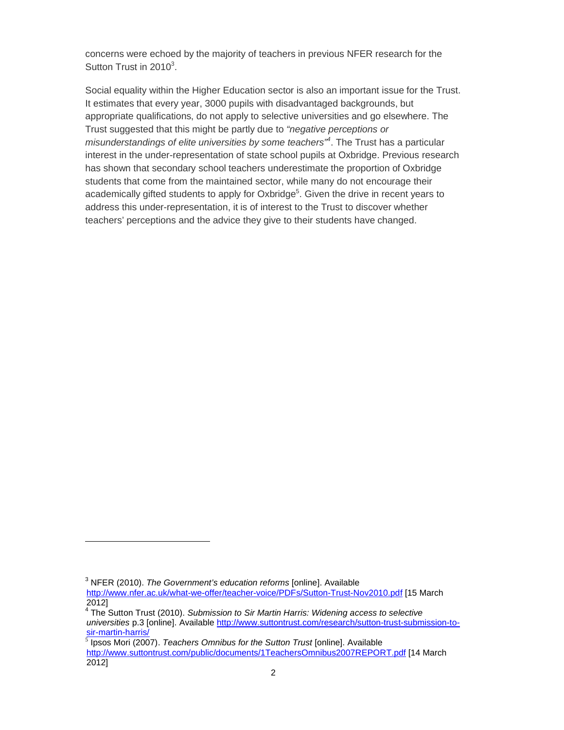concerns were echoed by the majority of teachers in previous NFER research for the Sutton Trust in  $2010^3$ .

Social equality within the Higher Education sector is also an important issue for the Trust. It estimates that every year, 3000 pupils with disadvantaged backgrounds, but appropriate qualifications, do not apply to selective universities and go elsewhere. The Trust suggested that this might be partly due to *"negative perceptions or misunderstandings of elite universities by some teachers"4* . The Trust has a particular interest in the under-representation of state school pupils at Oxbridge. Previous research has shown that secondary school teachers underestimate the proportion of Oxbridge students that come from the maintained sector, while many do not encourage their academically gifted students to apply for Oxbridge<sup>5</sup>. Given the drive in recent years to address this under-representation, it is of interest to the Trust to discover whether teachers' perceptions and the advice they give to their students have changed.

l

<sup>3</sup> NFER (2010). *The Government's education reforms* [online]. Available http://www.nfer.ac.uk/what-we-offer/teacher-voice/PDFs/Sutton-Trust-Nov2010.pdf [15 March 2012]

<sup>4</sup> The Sutton Trust (2010). *Submission to Sir Martin Harris: Widening access to selective universities* p.3 [online]. Available http://www.suttontrust.com/research/sutton-trust-submission-tosir-martin-harris/

<sup>5</sup>Ipsos Mori (2007). *Teachers Omnibus for the Sutton Trust* [online]. Available http://www.suttontrust.com/public/documents/1TeachersOmnibus2007REPORT.pdf [14 March 2012]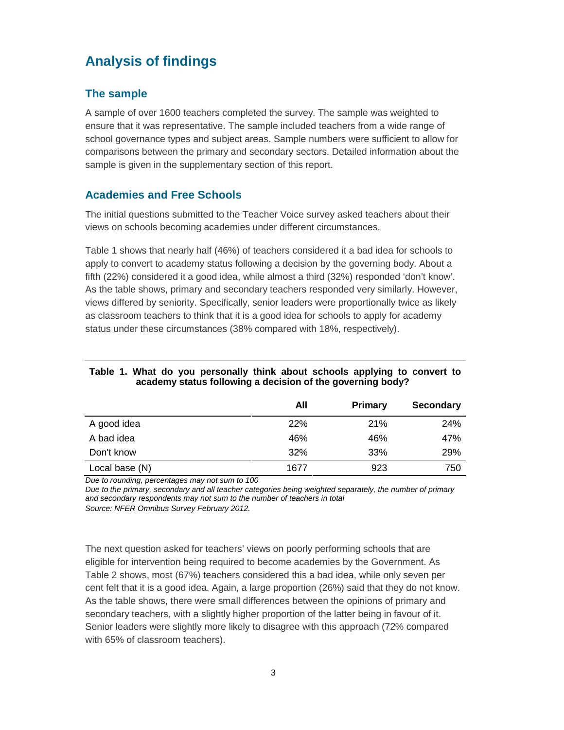# <span id="page-4-0"></span>**Analysis of findings**

## **The sample**

A sample of over 1600 teachers completed the survey. The sample was weighted to ensure that it was representative. The sample included teachers from a wide range of school governance types and subject areas. Sample numbers were sufficient to allow for comparisons between the primary and secondary sectors. Detailed information about the sample is given in the supplementary section of this report.

## **Academies and Free Schools**

The initial questions submitted to the Teacher Voice survey asked teachers about their views on schools becoming academies under different circumstances.

Table 1 shows that nearly half (46%) of teachers considered it a bad idea for schools to apply to convert to academy status following a decision by the governing body. About a fifth (22%) considered it a good idea, while almost a third (32%) responded 'don't know'. As the table shows, primary and secondary teachers responded very similarly. However, views differed by seniority. Specifically, senior leaders were proportionally twice as likely as classroom teachers to think that it is a good idea for schools to apply for academy status under these circumstances (38% compared with 18%, respectively).

|                | All        | <b>Primary</b> | <b>Secondary</b> |
|----------------|------------|----------------|------------------|
| A good idea    | <b>22%</b> | 21%            | 24%              |
| A bad idea     | 46%        | 46%            | 47%              |
| Don't know     | 32%        | 33%            | 29%              |
| Local base (N) | 1677       | 923            | 750              |

#### **Table 1. What do you personally think about schools applying to convert to academy status following a decision of the governing body?**

*Due to rounding, percentages may not sum to 100* 

*Due to the primary, secondary and all teacher categories being weighted separately, the number of primary and secondary respondents may not sum to the number of teachers in total Source: NFER Omnibus Survey February 2012.* 

The next question asked for teachers' views on poorly performing schools that are eligible for intervention being required to become academies by the Government. As Table 2 shows, most (67%) teachers considered this a bad idea, while only seven per cent felt that it is a good idea. Again, a large proportion (26%) said that they do not know. As the table shows, there were small differences between the opinions of primary and secondary teachers, with a slightly higher proportion of the latter being in favour of it. Senior leaders were slightly more likely to disagree with this approach (72% compared with 65% of classroom teachers).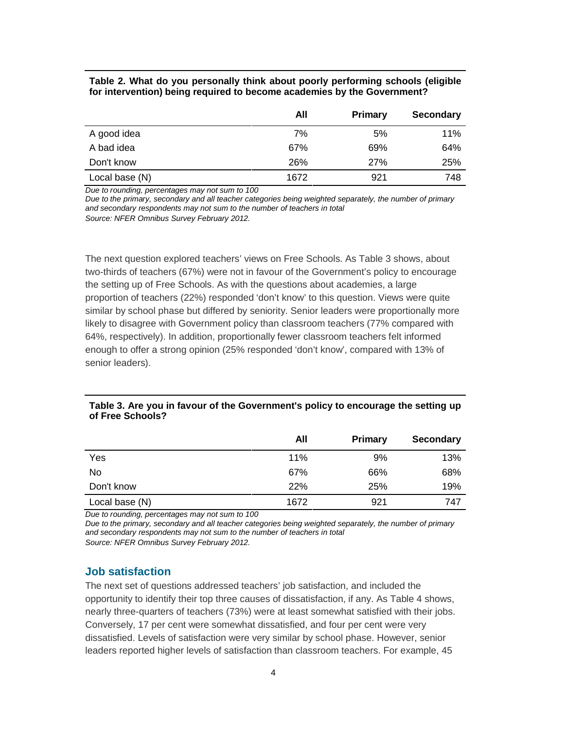#### <span id="page-5-0"></span>**Table 2. What do you personally think about poorly performing schools (eligible for intervention) being required to become academies by the Government?**

|                | All  | <b>Primary</b> | <b>Secondary</b> |
|----------------|------|----------------|------------------|
| A good idea    | 7%   | 5%             | 11%              |
| A bad idea     | 67%  | 69%            | 64%              |
| Don't know     | 26%  | 27%            | 25%              |
| Local base (N) | 1672 | 921            | 748              |

*Due to rounding, percentages may not sum to 100* 

*Due to the primary, secondary and all teacher categories being weighted separately, the number of primary and secondary respondents may not sum to the number of teachers in total Source: NFER Omnibus Survey February 2012.* 

The next question explored teachers' views on Free Schools. As Table 3 shows, about two-thirds of teachers (67%) were not in favour of the Government's policy to encourage the setting up of Free Schools. As with the questions about academies, a large proportion of teachers (22%) responded 'don't know' to this question. Views were quite similar by school phase but differed by seniority. Senior leaders were proportionally more likely to disagree with Government policy than classroom teachers (77% compared with 64%, respectively). In addition, proportionally fewer classroom teachers felt informed enough to offer a strong opinion (25% responded 'don't know', compared with 13% of senior leaders).

### **Table 3. Are you in favour of the Government's policy to encourage the setting up of Free Schools?**

|                | All  | Primary | <b>Secondary</b> |
|----------------|------|---------|------------------|
| Yes            | 11%  | 9%      | 13%              |
| No             | 67%  | 66%     | 68%              |
| Don't know     | 22%  | 25%     | 19%              |
| Local base (N) | 1672 | 921     | 747              |

*Due to rounding, percentages may not sum to 100* 

*Due to the primary, secondary and all teacher categories being weighted separately, the number of primary and secondary respondents may not sum to the number of teachers in total Source: NFER Omnibus Survey February 2012.* 

## **Job satisfaction**

The next set of questions addressed teachers' job satisfaction, and included the opportunity to identify their top three causes of dissatisfaction, if any. As Table 4 shows, nearly three-quarters of teachers (73%) were at least somewhat satisfied with their jobs. Conversely, 17 per cent were somewhat dissatisfied, and four per cent were very dissatisfied. Levels of satisfaction were very similar by school phase. However, senior leaders reported higher levels of satisfaction than classroom teachers. For example, 45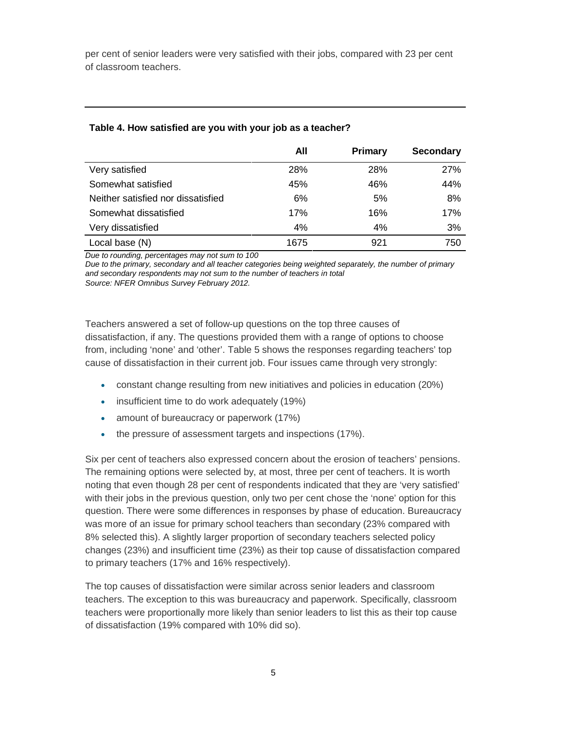per cent of senior leaders were very satisfied with their jobs, compared with 23 per cent of classroom teachers.

|                                    | All  | <b>Primary</b> | <b>Secondary</b> |
|------------------------------------|------|----------------|------------------|
| Very satisfied                     | 28%  | 28%            | 27%              |
| Somewhat satisfied                 | 45%  | 46%            | 44%              |
| Neither satisfied nor dissatisfied | 6%   | 5%             | 8%               |
| Somewhat dissatisfied              | 17%  | 16%            | 17%              |
| Very dissatisfied                  | 4%   | 4%             | 3%               |
| Local base (N)                     | 1675 | 921            | 750              |

#### **Table 4. How satisfied are you with your job as a teacher?**

*Due to rounding, percentages may not sum to 100* 

*Due to the primary, secondary and all teacher categories being weighted separately, the number of primary and secondary respondents may not sum to the number of teachers in total Source: NFER Omnibus Survey February 2012.* 

Teachers answered a set of follow-up questions on the top three causes of dissatisfaction, if any. The questions provided them with a range of options to choose from, including 'none' and 'other'. Table 5 shows the responses regarding teachers' top cause of dissatisfaction in their current job. Four issues came through very strongly:

- constant change resulting from new initiatives and policies in education (20%)
- insufficient time to do work adequately (19%)
- amount of bureaucracy or paperwork (17%)
- the pressure of assessment targets and inspections (17%).

Six per cent of teachers also expressed concern about the erosion of teachers' pensions. The remaining options were selected by, at most, three per cent of teachers. It is worth noting that even though 28 per cent of respondents indicated that they are 'very satisfied' with their jobs in the previous question, only two per cent chose the 'none' option for this question. There were some differences in responses by phase of education. Bureaucracy was more of an issue for primary school teachers than secondary (23% compared with 8% selected this). A slightly larger proportion of secondary teachers selected policy changes (23%) and insufficient time (23%) as their top cause of dissatisfaction compared to primary teachers (17% and 16% respectively).

The top causes of dissatisfaction were similar across senior leaders and classroom teachers. The exception to this was bureaucracy and paperwork. Specifically, classroom teachers were proportionally more likely than senior leaders to list this as their top cause of dissatisfaction (19% compared with 10% did so).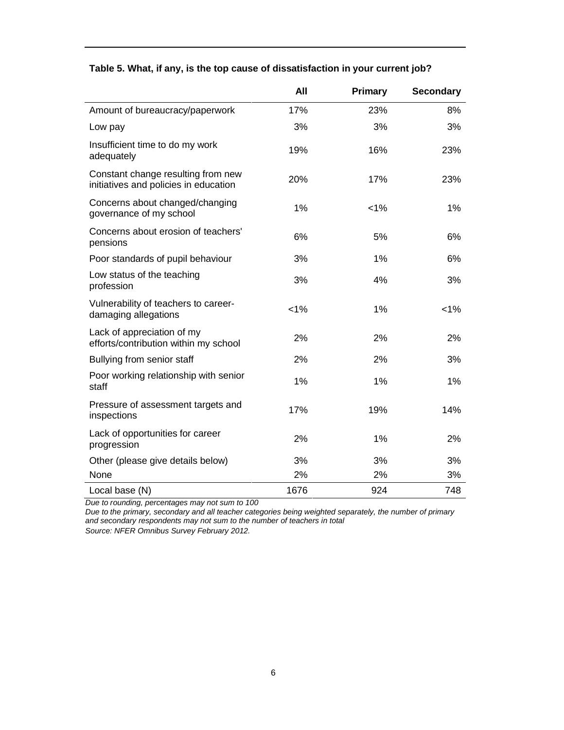|  |  | Table 5. What, if any, is the top cause of dissatisfaction in your current job? |  |  |
|--|--|---------------------------------------------------------------------------------|--|--|
|--|--|---------------------------------------------------------------------------------|--|--|

|                                                                             | All  | <b>Primary</b> | <b>Secondary</b> |
|-----------------------------------------------------------------------------|------|----------------|------------------|
| Amount of bureaucracy/paperwork                                             | 17%  | 23%            | 8%               |
| Low pay                                                                     | 3%   | 3%             | 3%               |
| Insufficient time to do my work<br>adequately                               | 19%  | 16%            | 23%              |
| Constant change resulting from new<br>initiatives and policies in education | 20%  | 17%            | 23%              |
| Concerns about changed/changing<br>governance of my school                  | 1%   | 1%             | 1%               |
| Concerns about erosion of teachers'<br>pensions                             | 6%   | 5%             | 6%               |
| Poor standards of pupil behaviour                                           | 3%   | 1%             | 6%               |
| Low status of the teaching<br>profession                                    | 3%   | 4%             | 3%               |
| Vulnerability of teachers to career-<br>damaging allegations                | 1%   | 1%             | 1%               |
| Lack of appreciation of my<br>efforts/contribution within my school         | 2%   | 2%             | 2%               |
| Bullying from senior staff                                                  | 2%   | 2%             | 3%               |
| Poor working relationship with senior<br>staff                              | 1%   | 1%             | 1%               |
| Pressure of assessment targets and<br>inspections                           | 17%  | 19%            | 14%              |
| Lack of opportunities for career<br>progression                             | 2%   | 1%             | 2%               |
| Other (please give details below)                                           | 3%   | 3%             | 3%               |
| None                                                                        | 2%   | 2%             | 3%               |
| Local base (N)                                                              | 1676 | 924            | 748              |

*Due to rounding, percentages may not sum to 100* 

*Due to the primary, secondary and all teacher categories being weighted separately, the number of primary and secondary respondents may not sum to the number of teachers in total*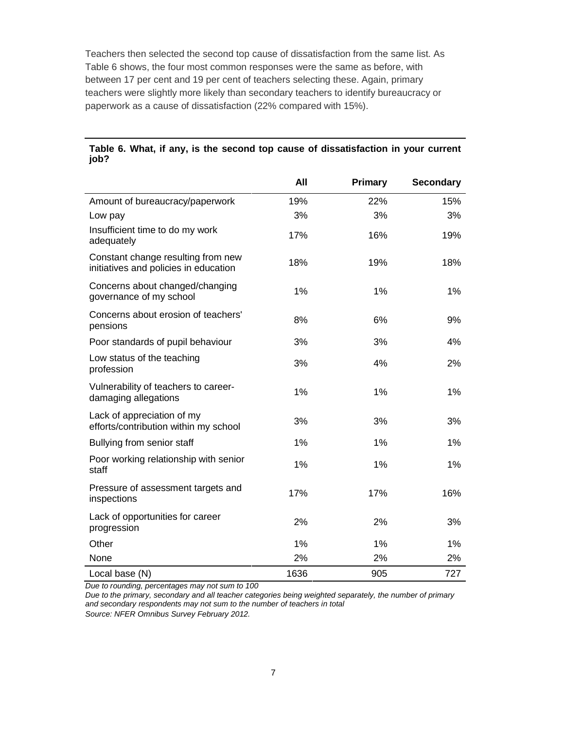Teachers then selected the second top cause of dissatisfaction from the same list. As Table 6 shows, the four most common responses were the same as before, with between 17 per cent and 19 per cent of teachers selecting these. Again, primary teachers were slightly more likely than secondary teachers to identify bureaucracy or paperwork as a cause of dissatisfaction (22% compared with 15%).

|      |  |  |  | Table 6. What, if any, is the second top cause of dissatisfaction in your current |  |
|------|--|--|--|-----------------------------------------------------------------------------------|--|
| job? |  |  |  |                                                                                   |  |

|                                                                             | All  | Primary | <b>Secondary</b> |
|-----------------------------------------------------------------------------|------|---------|------------------|
| Amount of bureaucracy/paperwork                                             | 19%  | 22%     | 15%              |
| Low pay                                                                     | 3%   | 3%      | 3%               |
| Insufficient time to do my work<br>adequately                               | 17%  | 16%     | 19%              |
| Constant change resulting from new<br>initiatives and policies in education | 18%  | 19%     | 18%              |
| Concerns about changed/changing<br>governance of my school                  | 1%   | 1%      | 1%               |
| Concerns about erosion of teachers'<br>pensions                             | 8%   | 6%      | 9%               |
| Poor standards of pupil behaviour                                           | 3%   | 3%      | 4%               |
| Low status of the teaching<br>profession                                    | 3%   | 4%      | 2%               |
| Vulnerability of teachers to career-<br>damaging allegations                | 1%   | 1%      | 1%               |
| Lack of appreciation of my<br>efforts/contribution within my school         | 3%   | 3%      | 3%               |
| Bullying from senior staff                                                  | 1%   | 1%      | 1%               |
| Poor working relationship with senior<br>staff                              | 1%   | 1%      | 1%               |
| Pressure of assessment targets and<br>inspections                           | 17%  | 17%     | 16%              |
| Lack of opportunities for career<br>progression                             | 2%   | 2%      | 3%               |
| Other                                                                       | 1%   | 1%      | 1%               |
| None                                                                        | 2%   | 2%      | 2%               |
| Local base (N)                                                              | 1636 | 905     | 727              |

*Due to rounding, percentages may not sum to 100* 

*Due to the primary, secondary and all teacher categories being weighted separately, the number of primary and secondary respondents may not sum to the number of teachers in total*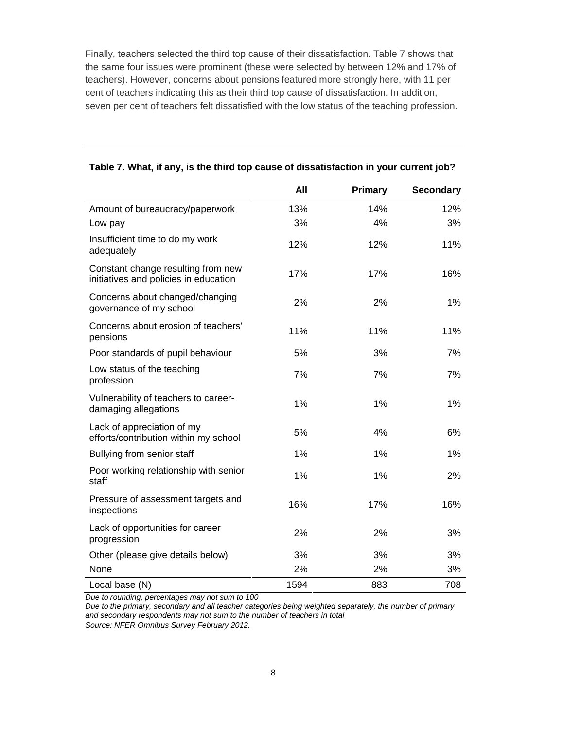Finally, teachers selected the third top cause of their dissatisfaction. Table 7 shows that the same four issues were prominent (these were selected by between 12% and 17% of teachers). However, concerns about pensions featured more strongly here, with 11 per cent of teachers indicating this as their third top cause of dissatisfaction. In addition, seven per cent of teachers felt dissatisfied with the low status of the teaching profession.

|                                                                             | All  | Primary | <b>Secondary</b> |
|-----------------------------------------------------------------------------|------|---------|------------------|
| Amount of bureaucracy/paperwork                                             | 13%  | 14%     | 12%              |
| Low pay                                                                     | 3%   | 4%      | 3%               |
| Insufficient time to do my work<br>adequately                               | 12%  | 12%     | 11%              |
| Constant change resulting from new<br>initiatives and policies in education | 17%  | 17%     | 16%              |
| Concerns about changed/changing<br>governance of my school                  | 2%   | 2%      | 1%               |
| Concerns about erosion of teachers'<br>pensions                             | 11%  | 11%     | 11%              |
| Poor standards of pupil behaviour                                           | 5%   | 3%      | 7%               |
| Low status of the teaching<br>profession                                    | 7%   | 7%      | 7%               |
| Vulnerability of teachers to career-<br>damaging allegations                | 1%   | 1%      | 1%               |
| Lack of appreciation of my<br>efforts/contribution within my school         | 5%   | 4%      | 6%               |
| Bullying from senior staff                                                  | 1%   | 1%      | 1%               |
| Poor working relationship with senior<br>staff                              | 1%   | 1%      | 2%               |
| Pressure of assessment targets and<br>inspections                           | 16%  | 17%     | 16%              |
| Lack of opportunities for career<br>progression                             | 2%   | 2%      | 3%               |
| Other (please give details below)                                           | 3%   | 3%      | 3%               |
| None                                                                        | 2%   | 2%      | 3%               |
| Local base (N)                                                              | 1594 | 883     | 708              |

| Table 7. What, if any, is the third top cause of dissatisfaction in your current job? |
|---------------------------------------------------------------------------------------|
|---------------------------------------------------------------------------------------|

*Due to rounding, percentages may not sum to 100* 

*Due to the primary, secondary and all teacher categories being weighted separately, the number of primary and secondary respondents may not sum to the number of teachers in total*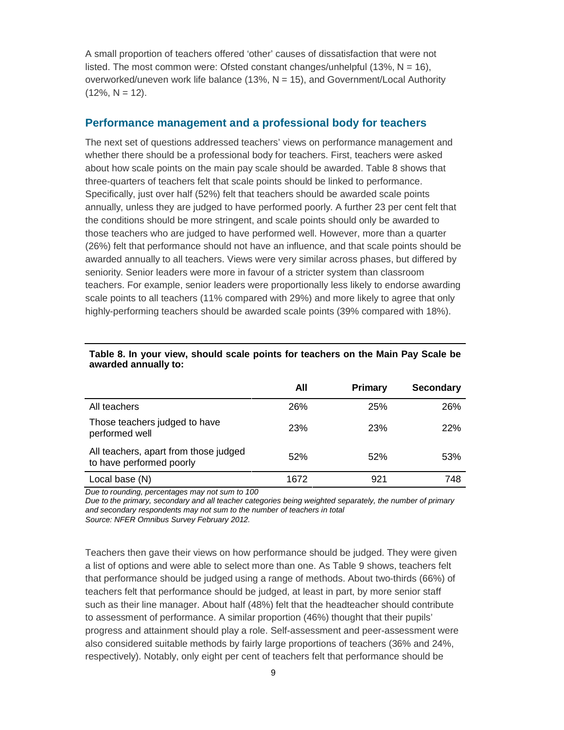<span id="page-10-0"></span>A small proportion of teachers offered 'other' causes of dissatisfaction that were not listed. The most common were: Ofsted constant changes/unhelpful  $(13\%, N = 16)$ , overworked/uneven work life balance (13%, N = 15), and Government/Local Authority  $(12\% \text{ N} = 12)$ .

### **Performance management and a professional body for teachers**

The next set of questions addressed teachers' views on performance management and whether there should be a professional body for teachers. First, teachers were asked about how scale points on the main pay scale should be awarded. Table 8 shows that three-quarters of teachers felt that scale points should be linked to performance. Specifically, just over half (52%) felt that teachers should be awarded scale points annually, unless they are judged to have performed poorly. A further 23 per cent felt that the conditions should be more stringent, and scale points should only be awarded to those teachers who are judged to have performed well. However, more than a quarter (26%) felt that performance should not have an influence, and that scale points should be awarded annually to all teachers. Views were very similar across phases, but differed by seniority. Senior leaders were more in favour of a stricter system than classroom teachers. For example, senior leaders were proportionally less likely to endorse awarding scale points to all teachers (11% compared with 29%) and more likely to agree that only highly-performing teachers should be awarded scale points (39% compared with 18%).

|                                                                   | All  | <b>Primary</b> | <b>Secondary</b> |
|-------------------------------------------------------------------|------|----------------|------------------|
| All teachers                                                      | 26%  | 25%            | 26%              |
| Those teachers judged to have<br>performed well                   | 23%  | 23%            | <b>22%</b>       |
| All teachers, apart from those judged<br>to have performed poorly | 52%  | 52%            | 53%              |
| Local base (N)                                                    | 1672 | 921            | 748              |

#### **Table 8. In your view, should scale points for teachers on the Main Pay Scale be awarded annually to:**

*Due to rounding, percentages may not sum to 100* 

*Due to the primary, secondary and all teacher categories being weighted separately, the number of primary and secondary respondents may not sum to the number of teachers in total Source: NFER Omnibus Survey February 2012.* 

Teachers then gave their views on how performance should be judged. They were given a list of options and were able to select more than one. As Table 9 shows, teachers felt that performance should be judged using a range of methods. About two-thirds (66%) of teachers felt that performance should be judged, at least in part, by more senior staff such as their line manager. About half (48%) felt that the headteacher should contribute to assessment of performance. A similar proportion (46%) thought that their pupils' progress and attainment should play a role. Self-assessment and peer-assessment were also considered suitable methods by fairly large proportions of teachers (36% and 24%, respectively). Notably, only eight per cent of teachers felt that performance should be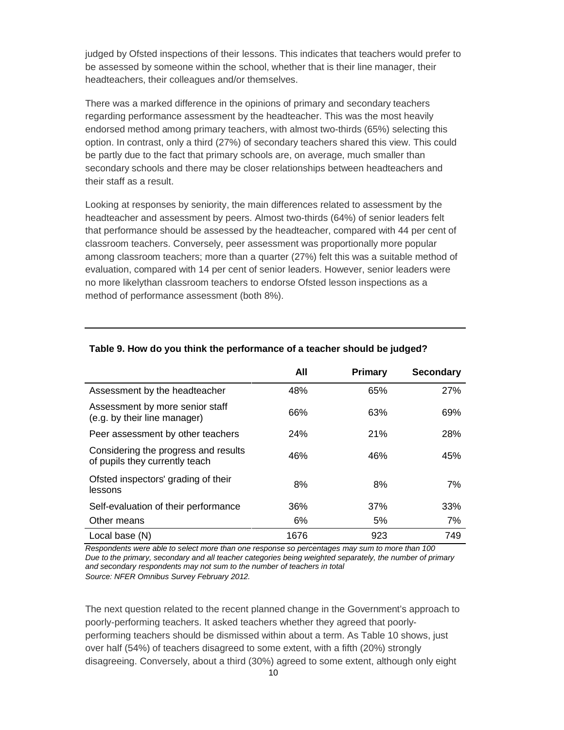judged by Ofsted inspections of their lessons. This indicates that teachers would prefer to be assessed by someone within the school, whether that is their line manager, their headteachers, their colleagues and/or themselves.

There was a marked difference in the opinions of primary and secondary teachers regarding performance assessment by the headteacher. This was the most heavily endorsed method among primary teachers, with almost two-thirds (65%) selecting this option. In contrast, only a third (27%) of secondary teachers shared this view. This could be partly due to the fact that primary schools are, on average, much smaller than secondary schools and there may be closer relationships between headteachers and their staff as a result.

Looking at responses by seniority, the main differences related to assessment by the headteacher and assessment by peers. Almost two-thirds (64%) of senior leaders felt that performance should be assessed by the headteacher, compared with 44 per cent of classroom teachers. Conversely, peer assessment was proportionally more popular among classroom teachers; more than a quarter (27%) felt this was a suitable method of evaluation, compared with 14 per cent of senior leaders. However, senior leaders were no more likelythan classroom teachers to endorse Ofsted lesson inspections as a method of performance assessment (both 8%).

|                                                                        | All  | Primary | <b>Secondary</b> |
|------------------------------------------------------------------------|------|---------|------------------|
| Assessment by the headteacher                                          | 48%  | 65%     | 27%              |
| Assessment by more senior staff<br>(e.g. by their line manager)        | 66%  | 63%     | 69%              |
| Peer assessment by other teachers                                      | 24%  | 21%     | 28%              |
| Considering the progress and results<br>of pupils they currently teach | 46%  | 46%     | 45%              |
| Ofsted inspectors' grading of their<br>lessons                         | 8%   | 8%      | 7%               |
| Self-evaluation of their performance                                   | 36%  | 37%     | 33%              |
| Other means                                                            | 6%   | 5%      | 7%               |
| Local base (N)                                                         | 1676 | 923     | 749              |

#### **Table 9. How do you think the performance of a teacher should be judged?**

*Respondents were able to select more than one response so percentages may sum to more than 100 Due to the primary, secondary and all teacher categories being weighted separately, the number of primary and secondary respondents may not sum to the number of teachers in total Source: NFER Omnibus Survey February 2012.* 

The next question related to the recent planned change in the Government's approach to poorly-performing teachers. It asked teachers whether they agreed that poorlyperforming teachers should be dismissed within about a term. As Table 10 shows, just over half (54%) of teachers disagreed to some extent, with a fifth (20%) strongly disagreeing. Conversely, about a third (30%) agreed to some extent, although only eight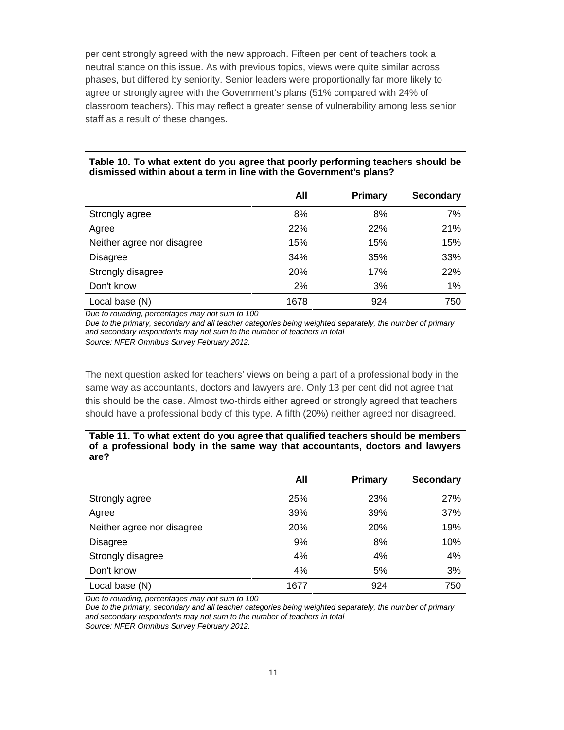per cent strongly agreed with the new approach. Fifteen per cent of teachers took a neutral stance on this issue. As with previous topics, views were quite similar across phases, but differed by seniority. Senior leaders were proportionally far more likely to agree or strongly agree with the Government's plans (51% compared with 24% of classroom teachers). This may reflect a greater sense of vulnerability among less senior staff as a result of these changes.

|                            | All  | Primary | <b>Secondary</b> |
|----------------------------|------|---------|------------------|
| Strongly agree             | 8%   | 8%      | 7%               |
| Agree                      | 22%  | 22%     | 21%              |
| Neither agree nor disagree | 15%  | 15%     | 15%              |
| <b>Disagree</b>            | 34%  | 35%     | 33%              |
| Strongly disagree          | 20%  | 17%     | 22%              |
| Don't know                 | 2%   | 3%      | 1%               |
| Local base (N)             | 1678 | 924     | 750              |

#### **Table 10. To what extent do you agree that poorly performing teachers should be dismissed within about a term in line with the Government's plans?**

*Due to rounding, percentages may not sum to 100* 

*Due to the primary, secondary and all teacher categories being weighted separately, the number of primary and secondary respondents may not sum to the number of teachers in total Source: NFER Omnibus Survey February 2012.* 

The next question asked for teachers' views on being a part of a professional body in the same way as accountants, doctors and lawyers are. Only 13 per cent did not agree that this should be the case. Almost two-thirds either agreed or strongly agreed that teachers should have a professional body of this type. A fifth (20%) neither agreed nor disagreed.

#### **Table 11. To what extent do you agree that qualified teachers should be members of a professional body in the same way that accountants, doctors and lawyers are?**

|                            | All  | Primary | <b>Secondary</b> |
|----------------------------|------|---------|------------------|
| Strongly agree             | 25%  | 23%     | 27%              |
| Agree                      | 39%  | 39%     | 37%              |
| Neither agree nor disagree | 20%  | 20%     | 19%              |
| <b>Disagree</b>            | 9%   | 8%      | 10%              |
| Strongly disagree          | 4%   | 4%      | 4%               |
| Don't know                 | 4%   | 5%      | 3%               |
| Local base (N)             | 1677 | 924     | 750              |

*Due to rounding, percentages may not sum to 100* 

*Due to the primary, secondary and all teacher categories being weighted separately, the number of primary and secondary respondents may not sum to the number of teachers in total*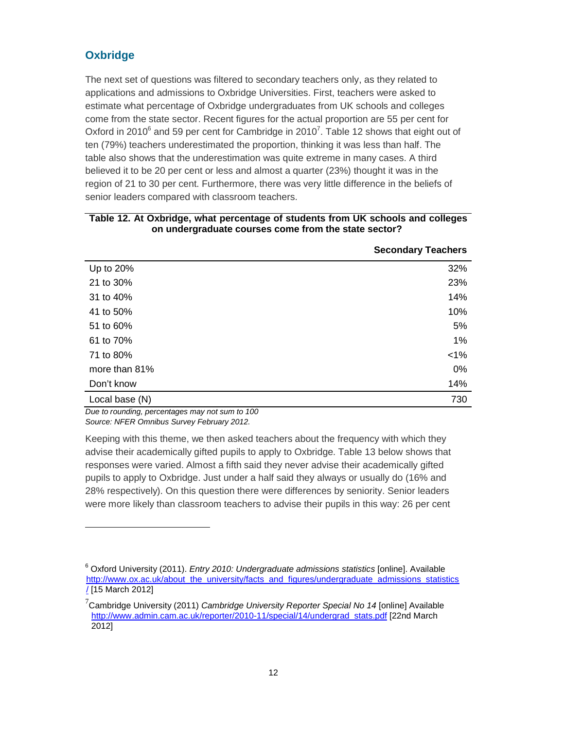## <span id="page-13-0"></span>**Oxbridge**

The next set of questions was filtered to secondary teachers only, as they related to applications and admissions to Oxbridge Universities. First, teachers were asked to estimate what percentage of Oxbridge undergraduates from UK schools and colleges come from the state sector. Recent figures for the actual proportion are 55 per cent for Oxford in 2010 $^6$  and 59 per cent for Cambridge in 2010<sup>7</sup>. Table 12 shows that eight out of ten (79%) teachers underestimated the proportion, thinking it was less than half. The table also shows that the underestimation was quite extreme in many cases. A third believed it to be 20 per cent or less and almost a quarter (23%) thought it was in the region of 21 to 30 per cent. Furthermore, there was very little difference in the beliefs of senior leaders compared with classroom teachers.

|                | <b>Secondary Teachers</b> |
|----------------|---------------------------|
| Up to 20%      | 32%                       |
| 21 to 30%      | 23%                       |
| 31 to 40%      | 14%                       |
| 41 to 50%      | 10%                       |
| 51 to 60%      | 5%                        |
| 61 to 70%      | 1%                        |
| 71 to 80%      | $< 1\%$                   |
| more than 81%  | 0%                        |
| Don't know     | 14%                       |
| Local base (N) | 730                       |

| Table 12. At Oxbridge, what percentage of students from UK schools and colleges |  |
|---------------------------------------------------------------------------------|--|
| on undergraduate courses come from the state sector?                            |  |

*Due to rounding, percentages may not sum to 100 Source: NFER Omnibus Survey February 2012.* 

l

Keeping with this theme, we then asked teachers about the frequency with which they advise their academically gifted pupils to apply to Oxbridge. Table 13 below shows that responses were varied. Almost a fifth said they never advise their academically gifted pupils to apply to Oxbridge. Just under a half said they always or usually do (16% and 28% respectively). On this question there were differences by seniority. Senior leaders were more likely than classroom teachers to advise their pupils in this way: 26 per cent

<sup>6</sup> Oxford University (2011). *Entry 2010: Undergraduate admissions statistics* [online]. Available http://www.ox.ac.uk/about\_the\_university/facts\_and\_figures/undergraduate\_admissions\_statistics / [15 March 2012]

<sup>&</sup>lt;sup>7</sup> Cambridge University (2011) *Cambridge University Reporter Special No 14* [online] Available http://www.admin.cam.ac.uk/reporter/2010-11/special/14/undergrad\_stats.pdf [22nd March 2012]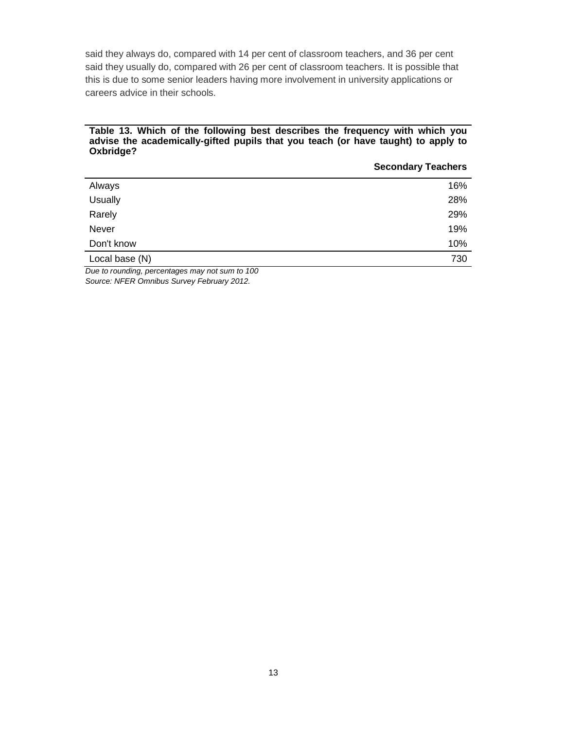said they always do, compared with 14 per cent of classroom teachers, and 36 per cent said they usually do, compared with 26 per cent of classroom teachers. It is possible that this is due to some senior leaders having more involvement in university applications or careers advice in their schools.

#### **Table 13. Which of the following best describes the frequency with which you advise the academically-gifted pupils that you teach (or have taught) to apply to Oxbridge?**

**Secondary Teachers** 

| Always         | 16% |
|----------------|-----|
| Usually        | 28% |
| Rarely         | 29% |
| Never          | 19% |
| Don't know     | 10% |
| Local base (N) | 730 |
|                |     |

*Due to rounding, percentages may not sum to 100 Source: NFER Omnibus Survey February 2012.*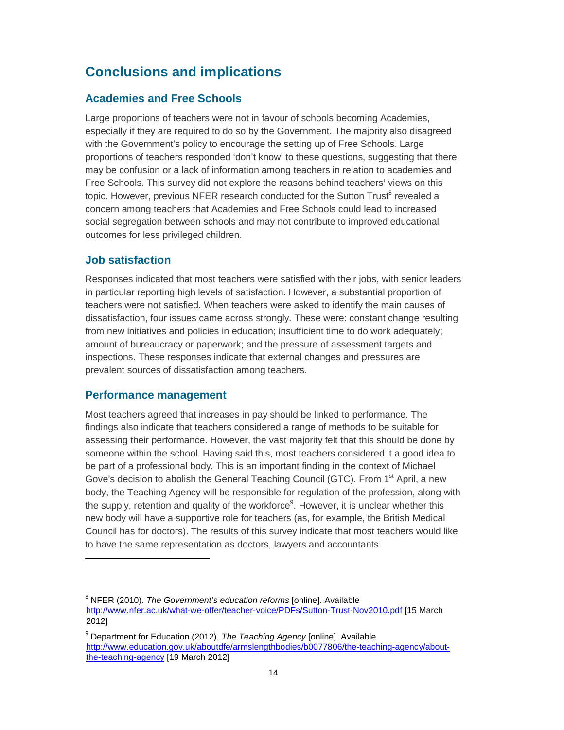## <span id="page-15-0"></span>**Conclusions and implications**

## **Academies and Free Schools**

Large proportions of teachers were not in favour of schools becoming Academies, especially if they are required to do so by the Government. The majority also disagreed with the Government's policy to encourage the setting up of Free Schools. Large proportions of teachers responded 'don't know' to these questions, suggesting that there may be confusion or a lack of information among teachers in relation to academies and Free Schools. This survey did not explore the reasons behind teachers' views on this topic. However, previous NFER research conducted for the Sutton Trust<sup>8</sup> revealed a concern among teachers that Academies and Free Schools could lead to increased social segregation between schools and may not contribute to improved educational outcomes for less privileged children.

## **Job satisfaction**

l

Responses indicated that most teachers were satisfied with their jobs, with senior leaders in particular reporting high levels of satisfaction. However, a substantial proportion of teachers were not satisfied. When teachers were asked to identify the main causes of dissatisfaction, four issues came across strongly. These were: constant change resulting from new initiatives and policies in education; insufficient time to do work adequately; amount of bureaucracy or paperwork; and the pressure of assessment targets and inspections. These responses indicate that external changes and pressures are prevalent sources of dissatisfaction among teachers.

## **Performance management**

Most teachers agreed that increases in pay should be linked to performance. The findings also indicate that teachers considered a range of methods to be suitable for assessing their performance. However, the vast majority felt that this should be done by someone within the school. Having said this, most teachers considered it a good idea to be part of a professional body. This is an important finding in the context of Michael Gove's decision to abolish the General Teaching Council (GTC). From 1<sup>st</sup> April, a new body, the Teaching Agency will be responsible for regulation of the profession, along with the supply, retention and quality of the workforce<sup>9</sup>. However, it is unclear whether this new body will have a supportive role for teachers (as, for example, the British Medical Council has for doctors). The results of this survey indicate that most teachers would like to have the same representation as doctors, lawyers and accountants.

<sup>8</sup> NFER (2010). *The Government's education reforms* [online]. Available http://www.nfer.ac.uk/what-we-offer/teacher-voice/PDFs/Sutton-Trust-Nov2010.pdf [15 March 2012]

<sup>9</sup> Department for Education (2012). *The Teaching Agency* [online]. Available http://www.education.gov.uk/aboutdfe/armslengthbodies/b0077806/the-teaching-agency/aboutthe-teaching-agency [19 March 2012]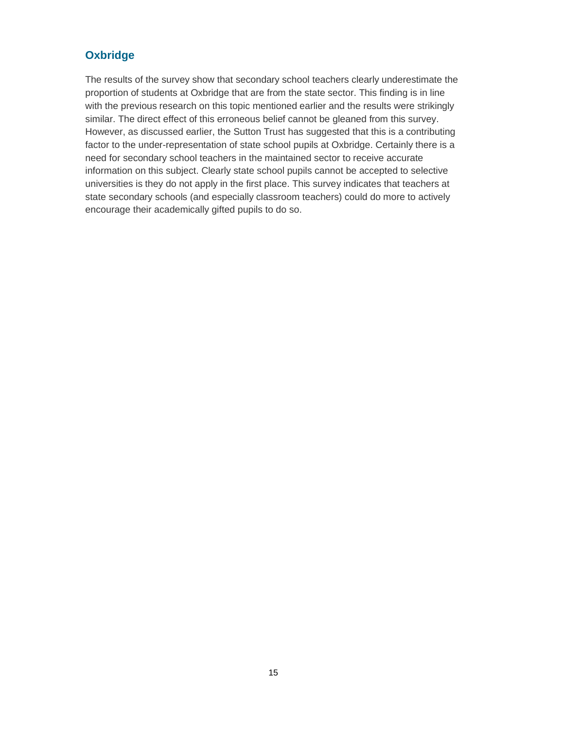## <span id="page-16-0"></span>**Oxbridge**

The results of the survey show that secondary school teachers clearly underestimate the proportion of students at Oxbridge that are from the state sector. This finding is in line with the previous research on this topic mentioned earlier and the results were strikingly similar. The direct effect of this erroneous belief cannot be gleaned from this survey. However, as discussed earlier, the Sutton Trust has suggested that this is a contributing factor to the under-representation of state school pupils at Oxbridge. Certainly there is a need for secondary school teachers in the maintained sector to receive accurate information on this subject. Clearly state school pupils cannot be accepted to selective universities is they do not apply in the first place. This survey indicates that teachers at state secondary schools (and especially classroom teachers) could do more to actively encourage their academically gifted pupils to do so.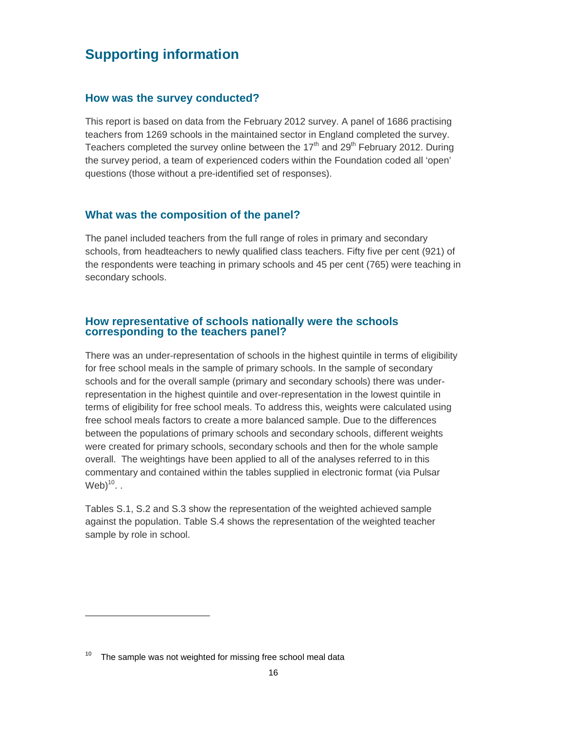# <span id="page-17-0"></span>**Supporting information**

## **How was the survey conducted?**

This report is based on data from the February 2012 survey. A panel of 1686 practising teachers from 1269 schools in the maintained sector in England completed the survey. Teachers completed the survey online between the  $17<sup>th</sup>$  and  $29<sup>th</sup>$  February 2012. During the survey period, a team of experienced coders within the Foundation coded all 'open' questions (those without a pre-identified set of responses).

## **What was the composition of the panel?**

The panel included teachers from the full range of roles in primary and secondary schools, from headteachers to newly qualified class teachers. Fifty five per cent (921) of the respondents were teaching in primary schools and 45 per cent (765) were teaching in secondary schools.

### **How representative of schools nationally were the schools corresponding to the teachers panel?**

There was an under-representation of schools in the highest quintile in terms of eligibility for free school meals in the sample of primary schools. In the sample of secondary schools and for the overall sample (primary and secondary schools) there was underrepresentation in the highest quintile and over-representation in the lowest quintile in terms of eligibility for free school meals. To address this, weights were calculated using free school meals factors to create a more balanced sample. Due to the differences between the populations of primary schools and secondary schools, different weights were created for primary schools, secondary schools and then for the whole sample overall. The weightings have been applied to all of the analyses referred to in this commentary and contained within the tables supplied in electronic format (via Pulsar Web) $10$ ..

Tables S.1, S.2 and S.3 show the representation of the weighted achieved sample against the population. Table S.4 shows the representation of the weighted teacher sample by role in school.

 $10$  The sample was not weighted for missing free school meal data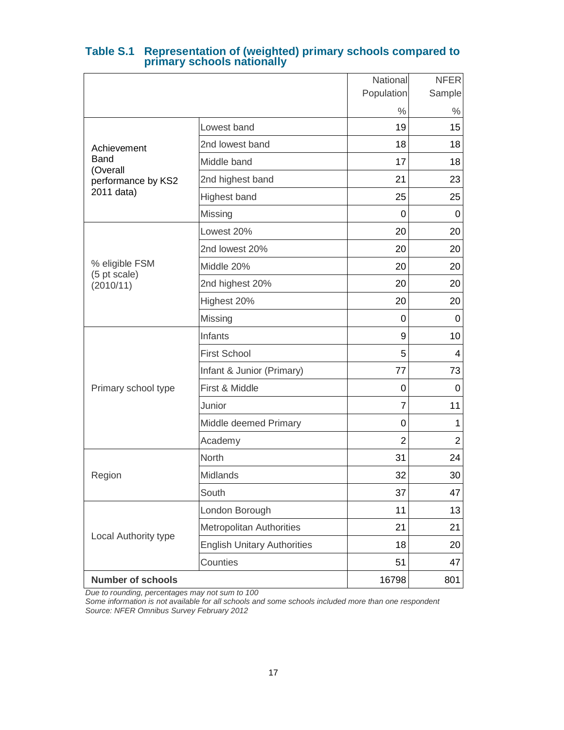|                                |                                    | National       | <b>NFER</b>    |
|--------------------------------|------------------------------------|----------------|----------------|
|                                |                                    | Population     | Sample         |
|                                |                                    | $\frac{0}{0}$  | $\%$           |
|                                | Lowest band                        | 19             | 15             |
| Achievement                    | 2nd lowest band                    | 18             | 18             |
| <b>Band</b><br>(Overall        | Middle band                        | 17             | 18             |
| performance by KS2             | 2nd highest band                   | 21             | 23             |
| 2011 data)                     | <b>Highest band</b>                | 25             | 25             |
|                                | Missing                            | 0              | 0              |
|                                | Lowest 20%                         | 20             | 20             |
|                                | 2nd lowest 20%                     | 20             | 20             |
| % eligible FSM<br>(5 pt scale) | Middle 20%                         | 20             | 20             |
| (2010/11)                      | 2nd highest 20%                    | 20             | 20             |
|                                | Highest 20%                        | 20             | 20             |
|                                | Missing                            | 0              | $\mathbf 0$    |
|                                | Infants                            | 9              | 10             |
|                                | <b>First School</b>                | 5              | 4              |
|                                | Infant & Junior (Primary)          | 77             | 73             |
| Primary school type            | First & Middle                     | 0              | 0              |
|                                | Junior                             | 7              | 11             |
|                                | Middle deemed Primary              | 0              | 1              |
|                                | Academy                            | $\overline{2}$ | $\overline{2}$ |
|                                | North                              | 31             | 24             |
| Region                         | Midlands                           | 32             | 30             |
|                                | South                              | 37             | 47             |
|                                | London Borough                     | 11             | 13             |
|                                | <b>Metropolitan Authorities</b>    | 21             | 21             |
| Local Authority type           | <b>English Unitary Authorities</b> | 18             | 20             |
|                                | Counties                           | 51             | 47             |
| <b>Number of schools</b>       |                                    | 16798          | 801            |

# **Table S.1 Representation of (weighted) primary schools compared to primary schools nationally**

*Due to rounding, percentages may not sum to 100* 

*Some information is not available for all schools and some schools included more than one respondent Source: NFER Omnibus Survey February 2012*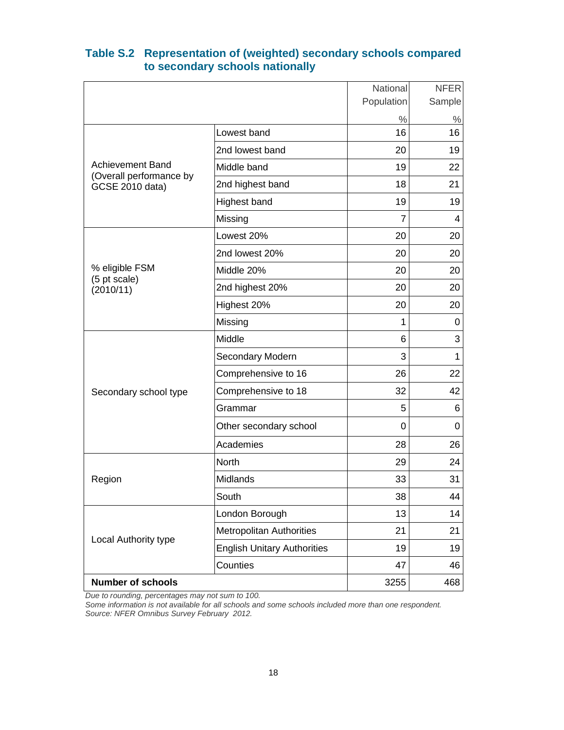| Table S.2 Representation of (weighted) secondary schools compared |
|-------------------------------------------------------------------|
| to secondary schools nationally                                   |

|                                                   |                                    | National       | <b>NFER</b>  |
|---------------------------------------------------|------------------------------------|----------------|--------------|
|                                                   |                                    | Population     | Sample       |
|                                                   |                                    | $\%$           | $\%$         |
|                                                   | Lowest band                        | 16             | 16           |
|                                                   | 2nd lowest band                    | 20             | 19           |
| <b>Achievement Band</b>                           | Middle band                        | 19             | 22           |
| (Overall performance by<br><b>GCSE 2010 data)</b> | 2nd highest band                   | 18             | 21           |
|                                                   | <b>Highest band</b>                | 19             | 19           |
|                                                   | Missing                            | $\overline{7}$ | 4            |
|                                                   | Lowest 20%                         | 20             | 20           |
|                                                   | 2nd lowest 20%                     | 20             | 20           |
| % eligible FSM                                    | Middle 20%                         | 20             | 20           |
| (5 pt scale)<br>(2010/11)                         | 2nd highest 20%                    | 20             | 20           |
|                                                   | Highest 20%                        | 20             | 20           |
|                                                   | Missing                            | 1              | 0            |
| Secondary school type                             | Middle                             | 6              | 3            |
|                                                   | Secondary Modern                   | 3              | $\mathbf{1}$ |
|                                                   | Comprehensive to 16                | 26             | 22           |
|                                                   | Comprehensive to 18                | 32             | 42           |
|                                                   | Grammar                            | 5              | 6            |
|                                                   | Other secondary school             | 0              | 0            |
|                                                   | Academies                          | 28             | 26           |
|                                                   | <b>North</b>                       | 29             | 24           |
| Region                                            | Midlands                           | 33             | 31           |
|                                                   | South                              | 38             | 44           |
|                                                   | London Borough                     | 13             | 14           |
|                                                   | <b>Metropolitan Authorities</b>    | 21             | 21           |
| Local Authority type                              | <b>English Unitary Authorities</b> | 19             | 19           |
|                                                   | Counties                           | 47             | 46           |
| <b>Number of schools</b>                          |                                    | 3255           | 468          |

*Due to rounding, percentages may not sum to 100.*

*Some information is not available for all schools and some schools included more than one respondent. Source: NFER Omnibus Survey February 2012.*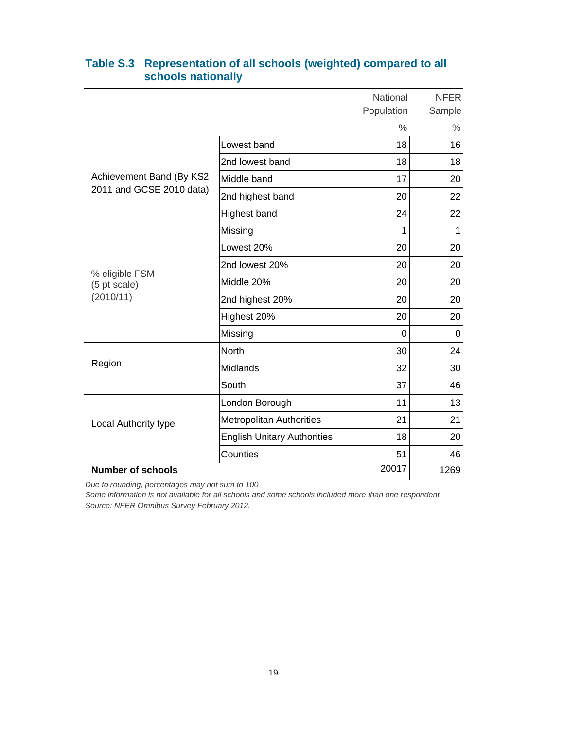|                                |                                    | National<br>Population | <b>NFER</b><br>Sample |
|--------------------------------|------------------------------------|------------------------|-----------------------|
|                                |                                    | $\%$                   | $\%$                  |
|                                | Lowest band                        | 18                     | 16                    |
|                                | 2nd lowest band                    | 18                     | 18                    |
| Achievement Band (By KS2       | Middle band                        | 17                     | 20                    |
| 2011 and GCSE 2010 data)       | 2nd highest band                   | 20                     | 22                    |
|                                | Highest band                       | 24                     | 22                    |
|                                | Missing                            | 1                      | 1                     |
|                                | Lowest 20%                         | 20                     | 20                    |
|                                | 2nd lowest 20%                     | 20                     | 20                    |
| % eligible FSM<br>(5 pt scale) | Middle 20%                         | 20                     | 20                    |
| (2010/11)                      | 2nd highest 20%                    | 20                     | 20                    |
|                                | Highest 20%                        | 20                     | 20                    |
|                                | Missing                            | 0                      | 0                     |
|                                | <b>North</b>                       | 30                     | 24                    |
| Region                         | Midlands                           | 32                     | 30                    |
|                                | South                              | 37                     | 46                    |
|                                | London Borough                     | 11                     | 13                    |
| Local Authority type           | <b>Metropolitan Authorities</b>    | 21                     | 21                    |
|                                | <b>English Unitary Authorities</b> | 18                     | 20                    |
|                                | Counties                           | 51                     | 46                    |
| <b>Number of schools</b>       |                                    | 20017                  | 1269                  |

## **Table S.3 Representation of all schools (weighted) compared to all schools nationally**

*Due to rounding, percentages may not sum to 100* 

*Some information is not available for all schools and some schools included more than one respondent Source: NFER Omnibus Survey February 2012.*